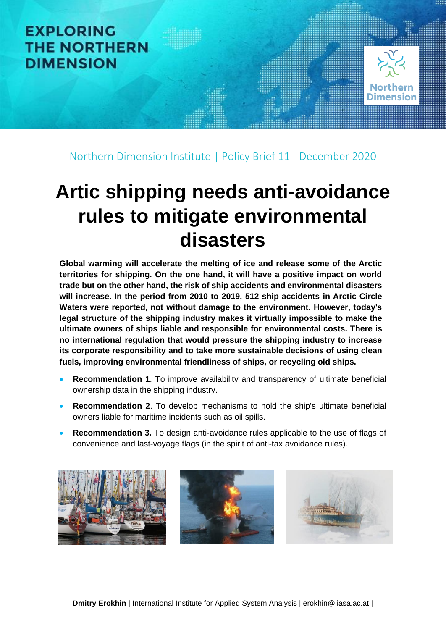

Northern Dimension Institute | Policy Brief 11 - December 2020

# **Artic shipping needs anti-avoidance rules to mitigate environmental disasters**

**Global warming will accelerate the melting of ice and release some of the Arctic territories for shipping. On the one hand, it will have a positive impact on world trade but on the other hand, the risk of ship accidents and environmental disasters will increase. In the period from 2010 to 2019, 512 ship accidents in Arctic Circle Waters were reported, not without damage to the environment. However, today's legal structure of the shipping industry makes it virtually impossible to make the ultimate owners of ships liable and responsible for environmental costs. There is no international regulation that would pressure the shipping industry to increase its corporate responsibility and to take more sustainable decisions of using clean fuels, improving environmental friendliness of ships, or recycling old ships.** 

- **Recommendation 1**. To improve availability and transparency of ultimate beneficial ownership data in the shipping industry.
- **Recommendation 2**. To develop mechanisms to hold the ship's ultimate beneficial owners liable for maritime incidents such as oil spills.
- **Recommendation 3.** To design anti-avoidance rules applicable to the use of flags of convenience and last-voyage flags (in the spirit of anti-tax avoidance rules).

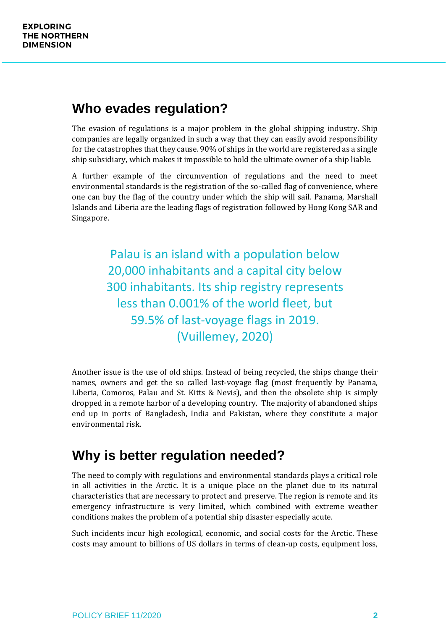#### **Who evades regulation?**

The evasion of regulations is a major problem in the global shipping industry. Ship companies are legally organized in such a way that they can easily avoid responsibility for the catastrophes that they cause. 90% of ships in the world are registered as a single ship subsidiary, which makes it impossible to hold the ultimate owner of a ship liable.

A further example of the circumvention of regulations and the need to meet environmental standards is the registration of the so-called flag of convenience, where one can buy the flag of the country under which the ship will sail. Panama, Marshall Islands and Liberia are the leading flags of registration followed by Hong Kong SAR and Singapore.

> Palau is an island with a population below 20,000 inhabitants and a capital city below 300 inhabitants. Its ship registry represents less than 0.001% of the world fleet, but 59.5% of last-voyage flags in 2019. (Vuillemey, 2020)

Another issue is the use of old ships. Instead of being recycled, the ships change their names, owners and get the so called last-voyage flag (most frequently by Panama, Liberia, Comoros, Palau and St. Kitts & Nevis), and then the obsolete ship is simply dropped in a remote harbor of a developing country. The majority of abandoned ships end up in ports of Bangladesh, India and Pakistan, where they constitute a major environmental risk.

## **Why is better regulation needed?**

The need to comply with regulations and environmental standards plays a critical role in all activities in the Arctic. It is a unique place on the planet due to its natural characteristics that are necessary to protect and preserve. The region is remote and its emergency infrastructure is very limited, which combined with extreme weather conditions makes the problem of a potential ship disaster especially acute.

Such incidents incur high ecological, economic, and social costs for the Arctic. These costs may amount to billions of US dollars in terms of clean-up costs, equipment loss,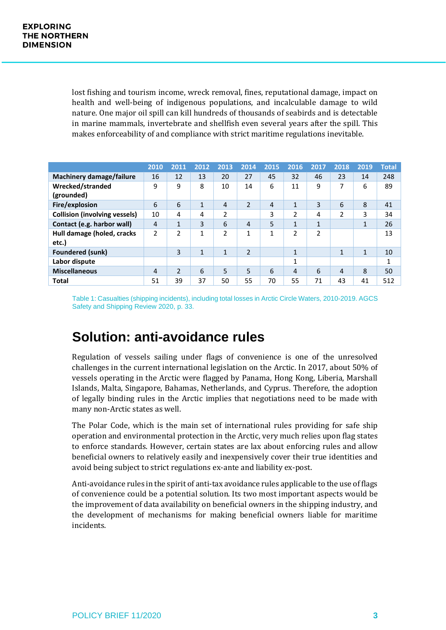lost fishing and tourism income, wreck removal, fines, reputational damage, impact on health and well-being of indigenous populations, and incalculable damage to wild nature. One major oil spill can kill hundreds of thousands of seabirds and is detectable in marine mammals, invertebrate and shellfish even several years after the spill. This makes enforceability of and compliance with strict maritime regulations inevitable.

|                                      | 2010           | 2011           | 2012         | 2013           | 2014           | 2015           | 2016         | 2017         | 2018 | 2019 | <b>Total</b> |
|--------------------------------------|----------------|----------------|--------------|----------------|----------------|----------------|--------------|--------------|------|------|--------------|
| <b>Machinery damage/failure</b>      | 16             | 12             | 13           | 20             | 27             | 45             | 32           | 46           | 23   | 14   | 248          |
| Wrecked/stranded                     | 9              | 9              | 8            | 10             | 14             | 6              | 11           | 9            | 7    | 6    | 89           |
| (grounded)                           |                |                |              |                |                |                |              |              |      |      |              |
| Fire/explosion                       | 6              | 6              | 1            | 4              | 2              | $\overline{4}$ | $\mathbf{1}$ | 3            | 6    | 8    | 41           |
| <b>Collision (involving vessels)</b> | 10             | 4              | 4            | 2              |                | 3              | 2            | 4            | 2    | 3    | 34           |
| Contact (e.g. harbor wall)           | $\overline{4}$ | $\mathbf{1}$   | 3            | 6              | 4              | 5              | $\mathbf{1}$ | $\mathbf{1}$ |      | 1    | 26           |
| Hull damage (holed, cracks<br>etc.)  | 2              | $\overline{2}$ | 1            | $\overline{2}$ | 1              | $\mathbf{1}$   | 2            | 2            |      |      | 13           |
| <b>Foundered (sunk)</b>              |                | 3              | $\mathbf{1}$ | 1              | $\overline{2}$ |                | $\mathbf{1}$ |              | 1    | 1    | 10           |
| Labor dispute                        |                |                |              |                |                |                | 1            |              |      |      | 1            |
| <b>Miscellaneous</b>                 | 4              | $\overline{2}$ | 6            | 5              | 5              | 6              | 4            | 6            | 4    | 8    | 50           |
| Total                                | 51             | 39             | 37           | 50             | 55             | 70             | 55           | 71           | 43   | 41   | 512          |

Table 1: Casualties (shipping incidents), including total losses in Arctic Circle Waters, 2010-2019. AGCS Safety and Shipping Review 2020, p. 33.

### **Solution: anti-avoidance rules**

Regulation of vessels sailing under flags of convenience is one of the unresolved challenges in the current international legislation on the Arctic. In 2017, about 50% of vessels operating in the Arctic were flagged by Panama, Hong Kong, Liberia, Marshall Islands, Malta, Singapore, Bahamas, Netherlands, and Cyprus. Therefore, the adoption of legally binding rules in the Arctic implies that negotiations need to be made with many non-Arctic states as well.

The Polar Code, which is the main set of international rules providing for safe ship operation and environmental protection in the Arctic, very much relies upon flag states to enforce standards. However, certain states are lax about enforcing rules and allow beneficial owners to relatively easily and inexpensively cover their true identities and avoid being subject to strict regulations ex-ante and liability ex-post.

Anti-avoidance rules in the spirit of anti-tax avoidance rules applicable to the use of flags of convenience could be a potential solution. Its two most important aspects would be the improvement of data availability on beneficial owners in the shipping industry, and the development of mechanisms for making beneficial owners liable for maritime incidents.